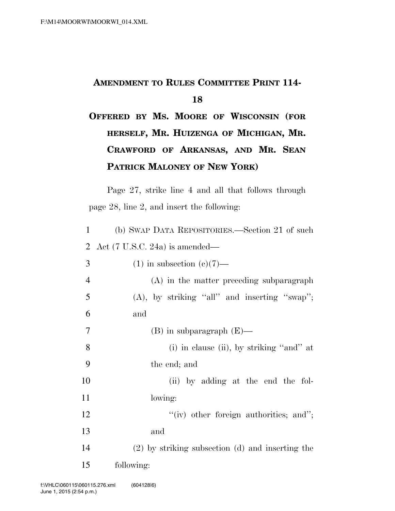## **AMENDMENT TO RULES COMMITTEE PRINT 114-**

## **OFFERED BY MS. MOORE OF WISCONSIN (FOR HERSELF, MR. HUIZENGA OF MICHIGAN, MR. CRAWFORD OF ARKANSAS, AND MR. SEAN PATRICK MALONEY OF NEW YORK)**

Page 27, strike line 4 and all that follows through page 28, line 2, and insert the following:

| $\mathbf{1}$   | (b) SWAP DATA REPOSITORIES.—Section 21 of such       |
|----------------|------------------------------------------------------|
| 2              | Act $(7 \text{ U.S.C. } 24a)$ is amended—            |
| 3              | $(1)$ in subsection $(e)(7)$ —                       |
| $\overline{4}$ | (A) in the matter preceding subparagraph             |
| 5              | $(A)$ , by striking "all" and inserting "swap";      |
| 6              | and                                                  |
| 7              | $(B)$ in subparagraph $(E)$ —                        |
| 8              | (i) in clause (ii), by striking "and" at             |
| 9              | the end; and                                         |
| 10             | (ii) by adding at the end the fol-                   |
| 11             | lowing:                                              |
| 12             | $``(iv)$ other foreign authorities; and";            |
| 13             | and                                                  |
| 14             | $(2)$ by striking subsection $(d)$ and inserting the |
| 15             | following:                                           |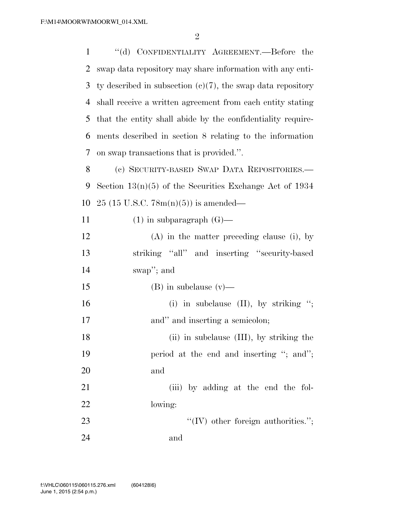''(d) CONFIDENTIALITY AGREEMENT.—Before the swap data repository may share information with any enti- ty described in subsection (c)(7), the swap data repository shall receive a written agreement from each entity stating that the entity shall abide by the confidentiality require- ments described in section 8 relating to the information on swap transactions that is provided.''. (c) SECURITY-BASED SWAP DATA REPOSITORIES.— Section 13(n)(5) of the Securities Exchange Act of 1934 25 (15 U.S.C. 78m(n)(5)) is amended—  $(1)$  in subparagraph  $(G)$ — (A) in the matter preceding clause (i), by striking ''all'' and inserting ''security-based swap''; and 15 (B) in subclause (v)— 16 (i) in subclause (II), by striking "; 17 and inserting a semicolon; 18 (ii) in subclause (III), by striking the 19 period at the end and inserting "; and"; and 21 (iii) by adding at the end the fol- lowing:  $\text{``(IV)}$  other foreign authorities."; and